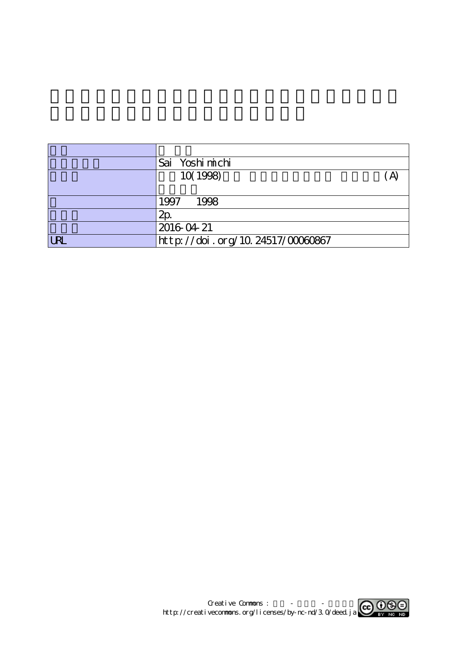|            | Sai Yoshi michi                  |  |
|------------|----------------------------------|--|
|            | 10(1998)                         |  |
|            |                                  |  |
|            | 1997<br>1998                     |  |
|            | 2p                               |  |
|            | 2016 04 21                       |  |
| <b>URL</b> | http://doi.org/10.24517/00060867 |  |

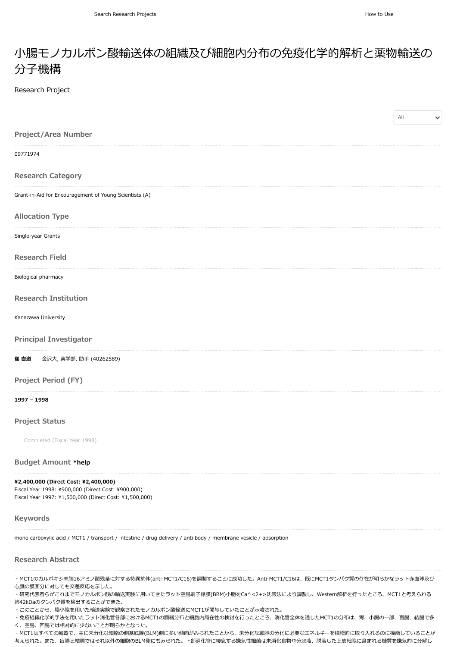## 小腸モノカルボン酸輸送体の組織及び細胞内分布の免疫化学的解析と薬物輸送の 分子機構

Research Project

|                                                        | $\mathsf{All}$<br>$\checkmark$ |
|--------------------------------------------------------|--------------------------------|
| Project/Area Number                                    |                                |
| 09771974                                               |                                |
| <b>Research Category</b>                               |                                |
| Grant-in-Aid for Encouragement of Young Scientists (A) |                                |
| <b>Allocation Type</b>                                 |                                |
| Single-year Grants                                     |                                |
| <b>Research Field</b>                                  |                                |
| Biological pharmacy                                    |                                |
| <b>Research Institution</b>                            |                                |
| Kanazawa University                                    |                                |
| <b>Principal Investigator</b>                          |                                |
| 崔 吉道<br>金沢大, 薬学部, 助手 (40262589)                        |                                |
| Project Period (FY)                                    |                                |
| 1997 - 1998                                            |                                |
| <b>Project Status</b>                                  |                                |
| Completed (Fiscal Year 1998)                           |                                |

### **Budget Amount [\\*help](https://support.nii.ac.jp/kaken/project_details)**

## **¥2,400,000 (Direct Cost: ¥2,400,000)**

Fiscal Year 1998: ¥900,000 (Direct Cost: ¥900,000) Fiscal Year 1997: ¥1,500,000 (Direct Cost: ¥1,500,000)

#### **Keywords**

mono carboxylic acid / MCT1 / transport / intestine / drug delivery / anti body / membrane vesicle / absorption

### **Research Abstract**

・MCT1のカルボキシ末端16アミノ酸残基に対する特異抗体(anti-MCT1/C16)を調製することに成功した。Anti-MCT1/C16は、既にMCT1タンパク質の存在が明らかなラット赤血球及び 心臓の膜画分に対しても交差反応を示した。

・研究代表者らがこれまでモノカルボン酸の輸送実験に用いてきたラット空腸刷子縁膜(BBM)小胞をCa^<2+>沈殿法により調製し、Western解析を行ったところ、MCT1と考えられる 約42kDaのタンパク質を検出することができた。

・このことから、膜小胞を用いた輸送実験で観察されたモノカルボン酸輸送にMCT1が関与していたことが示唆された。

・免疫組織化学的手法を用いたラット消化管各部におけるMCT1の臓器分布と細胞内局在性の検討を行ったところ、消化管全体を通したMCT1の分布は、胃、小腸の一部、盲腸、結腸で多 く、空腸、回腸では相対的に少ないことが明らかとなった。

・MCT1はすべての臓器で、主に未分化な細胞の側基底膜(BLM)側に多い傾向がみられたことから、未分化な細胞の分化に必要なエネルギーを積極的に取り入れるのに機能していることが 考えられた。また、盲腸と結腸ではそれ以外の細胞のBLM側にもみられた。下部消化管に棲息する嫌気性細菌は未消化食物や分泌液、脱落した上皮細胞に含まれる糖質を嫌気的に分解し